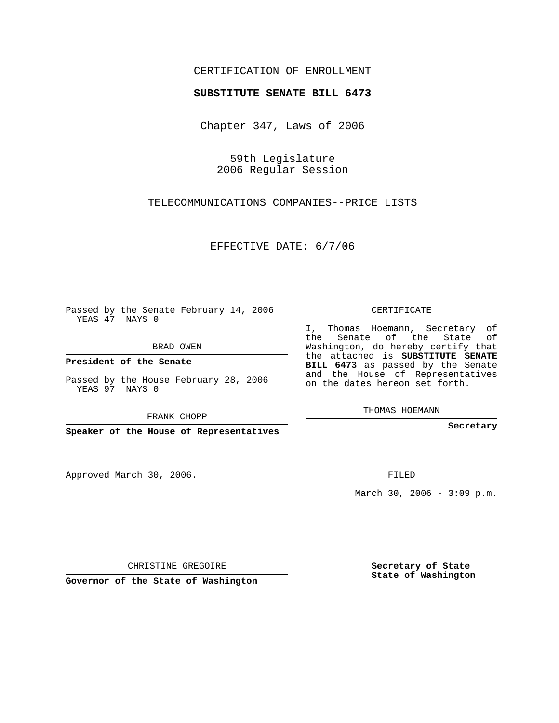## CERTIFICATION OF ENROLLMENT

## **SUBSTITUTE SENATE BILL 6473**

Chapter 347, Laws of 2006

59th Legislature 2006 Regular Session

TELECOMMUNICATIONS COMPANIES--PRICE LISTS

EFFECTIVE DATE: 6/7/06

Passed by the Senate February 14, 2006 YEAS 47 NAYS 0

BRAD OWEN

**President of the Senate**

Passed by the House February 28, 2006 YEAS 97 NAYS 0

FRANK CHOPP

**Speaker of the House of Representatives**

Approved March 30, 2006.

CERTIFICATE

I, Thomas Hoemann, Secretary of the Senate of the State of Washington, do hereby certify that the attached is **SUBSTITUTE SENATE BILL 6473** as passed by the Senate and the House of Representatives on the dates hereon set forth.

THOMAS HOEMANN

**Secretary**

FILED

March 30, 2006 -  $3:09$  p.m.

CHRISTINE GREGOIRE

**Governor of the State of Washington**

**Secretary of State State of Washington**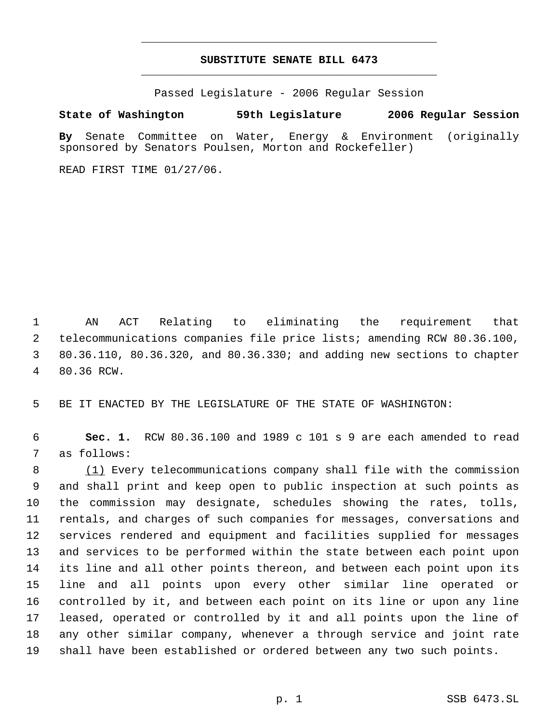## **SUBSTITUTE SENATE BILL 6473** \_\_\_\_\_\_\_\_\_\_\_\_\_\_\_\_\_\_\_\_\_\_\_\_\_\_\_\_\_\_\_\_\_\_\_\_\_\_\_\_\_\_\_\_\_

\_\_\_\_\_\_\_\_\_\_\_\_\_\_\_\_\_\_\_\_\_\_\_\_\_\_\_\_\_\_\_\_\_\_\_\_\_\_\_\_\_\_\_\_\_

Passed Legislature - 2006 Regular Session

## **State of Washington 59th Legislature 2006 Regular Session**

**By** Senate Committee on Water, Energy & Environment (originally sponsored by Senators Poulsen, Morton and Rockefeller)

READ FIRST TIME 01/27/06.

 AN ACT Relating to eliminating the requirement that telecommunications companies file price lists; amending RCW 80.36.100, 80.36.110, 80.36.320, and 80.36.330; and adding new sections to chapter 80.36 RCW.

BE IT ENACTED BY THE LEGISLATURE OF THE STATE OF WASHINGTON:

 **Sec. 1.** RCW 80.36.100 and 1989 c 101 s 9 are each amended to read as follows:

8 (1) Every telecommunications company shall file with the commission and shall print and keep open to public inspection at such points as the commission may designate, schedules showing the rates, tolls, rentals, and charges of such companies for messages, conversations and services rendered and equipment and facilities supplied for messages and services to be performed within the state between each point upon its line and all other points thereon, and between each point upon its line and all points upon every other similar line operated or controlled by it, and between each point on its line or upon any line leased, operated or controlled by it and all points upon the line of any other similar company, whenever a through service and joint rate shall have been established or ordered between any two such points.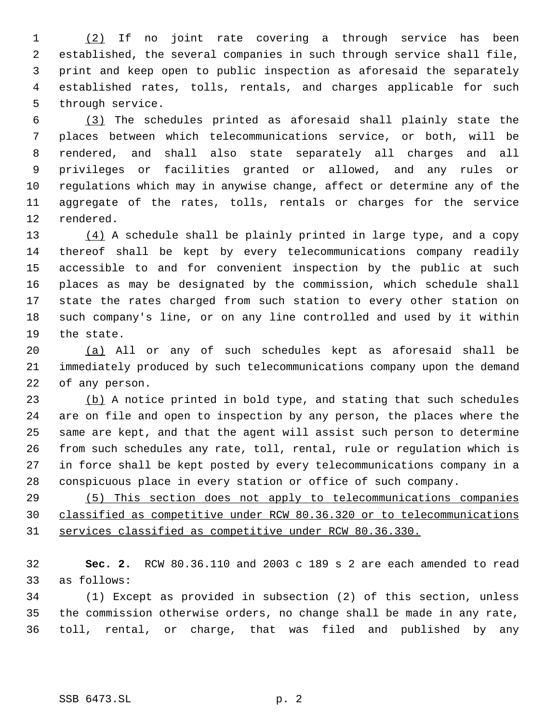(2) If no joint rate covering a through service has been established, the several companies in such through service shall file, print and keep open to public inspection as aforesaid the separately established rates, tolls, rentals, and charges applicable for such through service.

 (3) The schedules printed as aforesaid shall plainly state the places between which telecommunications service, or both, will be rendered, and shall also state separately all charges and all privileges or facilities granted or allowed, and any rules or regulations which may in anywise change, affect or determine any of the aggregate of the rates, tolls, rentals or charges for the service rendered.

13 (4) A schedule shall be plainly printed in large type, and a copy thereof shall be kept by every telecommunications company readily accessible to and for convenient inspection by the public at such places as may be designated by the commission, which schedule shall state the rates charged from such station to every other station on such company's line, or on any line controlled and used by it within the state.

 (a) All or any of such schedules kept as aforesaid shall be immediately produced by such telecommunications company upon the demand of any person.

23 (b) A notice printed in bold type, and stating that such schedules are on file and open to inspection by any person, the places where the same are kept, and that the agent will assist such person to determine from such schedules any rate, toll, rental, rule or regulation which is in force shall be kept posted by every telecommunications company in a conspicuous place in every station or office of such company.

 (5) This section does not apply to telecommunications companies classified as competitive under RCW 80.36.320 or to telecommunications services classified as competitive under RCW 80.36.330.

 **Sec. 2.** RCW 80.36.110 and 2003 c 189 s 2 are each amended to read as follows:

 (1) Except as provided in subsection (2) of this section, unless the commission otherwise orders, no change shall be made in any rate, toll, rental, or charge, that was filed and published by any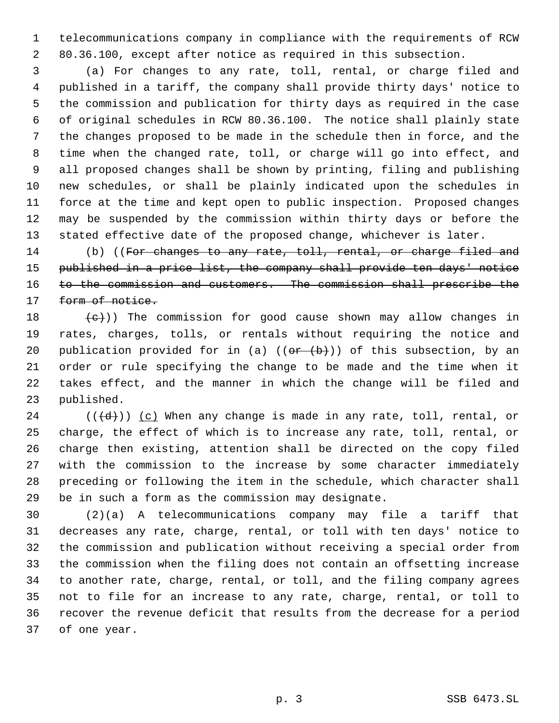telecommunications company in compliance with the requirements of RCW 80.36.100, except after notice as required in this subsection.

 (a) For changes to any rate, toll, rental, or charge filed and published in a tariff, the company shall provide thirty days' notice to the commission and publication for thirty days as required in the case of original schedules in RCW 80.36.100. The notice shall plainly state the changes proposed to be made in the schedule then in force, and the time when the changed rate, toll, or charge will go into effect, and all proposed changes shall be shown by printing, filing and publishing new schedules, or shall be plainly indicated upon the schedules in force at the time and kept open to public inspection. Proposed changes may be suspended by the commission within thirty days or before the stated effective date of the proposed change, whichever is later.

14 (b) ((For changes to any rate, toll, rental, or charge filed and published in a price list, the company shall provide ten days' notice to the commission and customers. The commission shall prescribe the 17 form of notice.

 $(e)$ ) The commission for good cause shown may allow changes in rates, charges, tolls, or rentals without requiring the notice and 20 publication provided for in (a)  $((e<sub>r</sub> + b))$  of this subsection, by an order or rule specifying the change to be made and the time when it takes effect, and the manner in which the change will be filed and published.

24 ( $(\overline{d})$ ) (c) When any change is made in any rate, toll, rental, or charge, the effect of which is to increase any rate, toll, rental, or charge then existing, attention shall be directed on the copy filed with the commission to the increase by some character immediately preceding or following the item in the schedule, which character shall be in such a form as the commission may designate.

 (2)(a) A telecommunications company may file a tariff that decreases any rate, charge, rental, or toll with ten days' notice to the commission and publication without receiving a special order from the commission when the filing does not contain an offsetting increase to another rate, charge, rental, or toll, and the filing company agrees not to file for an increase to any rate, charge, rental, or toll to recover the revenue deficit that results from the decrease for a period of one year.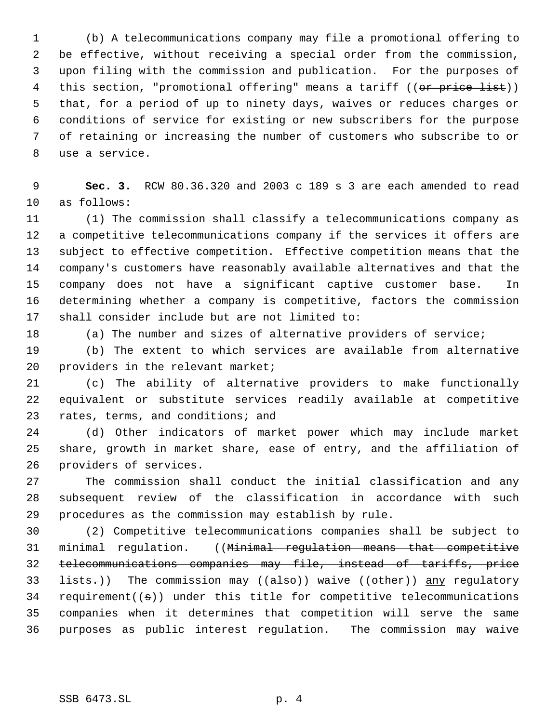(b) A telecommunications company may file a promotional offering to be effective, without receiving a special order from the commission, upon filing with the commission and publication. For the purposes of 4 this section, "promotional offering" means a tariff ((or price list)) that, for a period of up to ninety days, waives or reduces charges or conditions of service for existing or new subscribers for the purpose of retaining or increasing the number of customers who subscribe to or use a service.

 **Sec. 3.** RCW 80.36.320 and 2003 c 189 s 3 are each amended to read as follows:

 (1) The commission shall classify a telecommunications company as a competitive telecommunications company if the services it offers are subject to effective competition. Effective competition means that the company's customers have reasonably available alternatives and that the company does not have a significant captive customer base. In determining whether a company is competitive, factors the commission shall consider include but are not limited to:

(a) The number and sizes of alternative providers of service;

 (b) The extent to which services are available from alternative 20 providers in the relevant market;

 (c) The ability of alternative providers to make functionally equivalent or substitute services readily available at competitive 23 rates, terms, and conditions; and

 (d) Other indicators of market power which may include market share, growth in market share, ease of entry, and the affiliation of providers of services.

 The commission shall conduct the initial classification and any subsequent review of the classification in accordance with such procedures as the commission may establish by rule.

 (2) Competitive telecommunications companies shall be subject to minimal regulation. ((Minimal regulation means that competitive telecommunications companies may file, instead of tariffs, price  $\pm i$ sts.)) The commission may ((also)) waive ((other)) any regulatory 34 requirement( $(s)$ ) under this title for competitive telecommunications companies when it determines that competition will serve the same purposes as public interest regulation. The commission may waive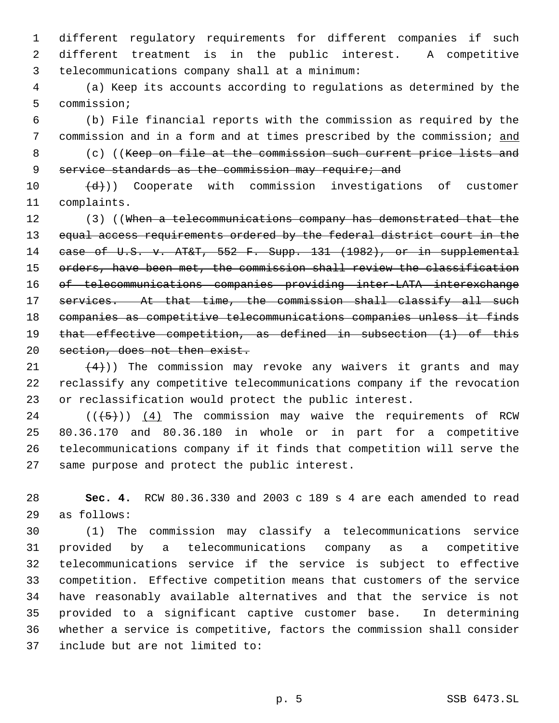different regulatory requirements for different companies if such different treatment is in the public interest. A competitive telecommunications company shall at a minimum:

 (a) Keep its accounts according to regulations as determined by the commission;

 (b) File financial reports with the commission as required by the commission and in a form and at times prescribed by the commission; and (c) ((Keep on file at the commission such current price lists and

9 service standards as the commission may require; and

 $(d)$ ) Cooperate with commission investigations of customer complaints.

12 (3) ((When a telecommunications company has demonstrated that the 13 equal access requirements ordered by the federal district court in the 14 case of U.S. v. AT&T, 552 F. Supp. 131 (1982), or in supplemental orders, have been met, the commission shall review the classification of telecommunications companies providing inter-LATA interexchange 17 services. At that time, the commission shall classify all such companies as competitive telecommunications companies unless it finds that effective competition, as defined in subsection (1) of this 20 section, does not then exist.

21  $(4)$ )) The commission may revoke any waivers it grants and may reclassify any competitive telecommunications company if the revocation or reclassification would protect the public interest.

24 ( $(\overline{5})$ ) (4) The commission may waive the requirements of RCW 80.36.170 and 80.36.180 in whole or in part for a competitive telecommunications company if it finds that competition will serve the same purpose and protect the public interest.

 **Sec. 4.** RCW 80.36.330 and 2003 c 189 s 4 are each amended to read as follows:

 (1) The commission may classify a telecommunications service provided by a telecommunications company as a competitive telecommunications service if the service is subject to effective competition. Effective competition means that customers of the service have reasonably available alternatives and that the service is not provided to a significant captive customer base. In determining whether a service is competitive, factors the commission shall consider include but are not limited to: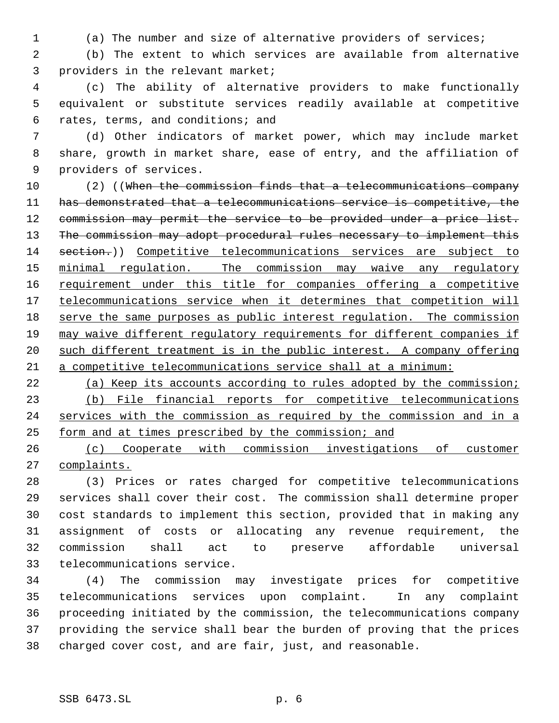(a) The number and size of alternative providers of services;

 (b) The extent to which services are available from alternative providers in the relevant market;

 (c) The ability of alternative providers to make functionally equivalent or substitute services readily available at competitive rates, terms, and conditions; and

 (d) Other indicators of market power, which may include market share, growth in market share, ease of entry, and the affiliation of providers of services.

 (2) ((When the commission finds that a telecommunications company has demonstrated that a telecommunications service is competitive, the 12 commission may permit the service to be provided under a price list. 13 The commission may adopt procedural rules necessary to implement this 14 section.)) Competitive telecommunications services are subject to 15 minimal regulation. The commission may waive any regulatory 16 requirement under this title for companies offering a competitive telecommunications service when it determines that competition will serve the same purposes as public interest regulation. The commission may waive different regulatory requirements for different companies if such different treatment is in the public interest. A company offering a competitive telecommunications service shall at a minimum:

 (a) Keep its accounts according to rules adopted by the commission; (b) File financial reports for competitive telecommunications services with the commission as required by the commission and in a form and at times prescribed by the commission; and

 (c) Cooperate with commission investigations of customer complaints.

 (3) Prices or rates charged for competitive telecommunications services shall cover their cost. The commission shall determine proper cost standards to implement this section, provided that in making any assignment of costs or allocating any revenue requirement, the commission shall act to preserve affordable universal telecommunications service.

 (4) The commission may investigate prices for competitive telecommunications services upon complaint. In any complaint proceeding initiated by the commission, the telecommunications company providing the service shall bear the burden of proving that the prices charged cover cost, and are fair, just, and reasonable.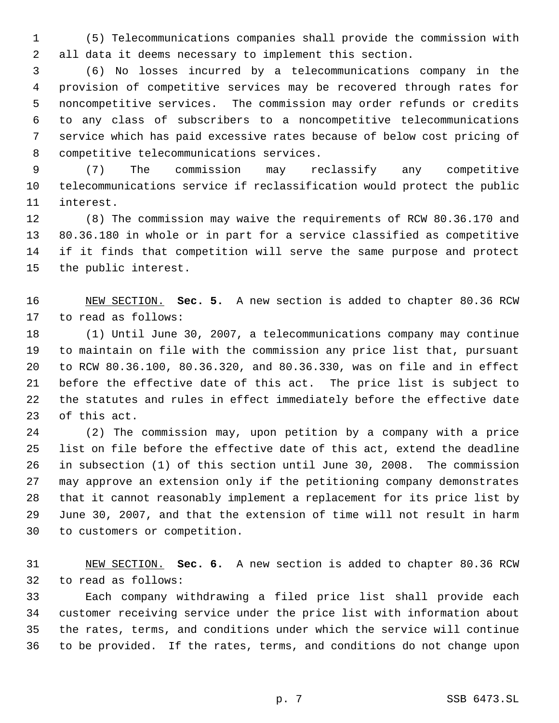(5) Telecommunications companies shall provide the commission with all data it deems necessary to implement this section.

 (6) No losses incurred by a telecommunications company in the provision of competitive services may be recovered through rates for noncompetitive services. The commission may order refunds or credits to any class of subscribers to a noncompetitive telecommunications service which has paid excessive rates because of below cost pricing of competitive telecommunications services.

 (7) The commission may reclassify any competitive telecommunications service if reclassification would protect the public interest.

 (8) The commission may waive the requirements of RCW 80.36.170 and 80.36.180 in whole or in part for a service classified as competitive if it finds that competition will serve the same purpose and protect the public interest.

 NEW SECTION. **Sec. 5.** A new section is added to chapter 80.36 RCW to read as follows:

 (1) Until June 30, 2007, a telecommunications company may continue to maintain on file with the commission any price list that, pursuant to RCW 80.36.100, 80.36.320, and 80.36.330, was on file and in effect before the effective date of this act. The price list is subject to the statutes and rules in effect immediately before the effective date of this act.

 (2) The commission may, upon petition by a company with a price list on file before the effective date of this act, extend the deadline in subsection (1) of this section until June 30, 2008. The commission may approve an extension only if the petitioning company demonstrates that it cannot reasonably implement a replacement for its price list by June 30, 2007, and that the extension of time will not result in harm to customers or competition.

 NEW SECTION. **Sec. 6.** A new section is added to chapter 80.36 RCW to read as follows:

 Each company withdrawing a filed price list shall provide each customer receiving service under the price list with information about the rates, terms, and conditions under which the service will continue to be provided. If the rates, terms, and conditions do not change upon